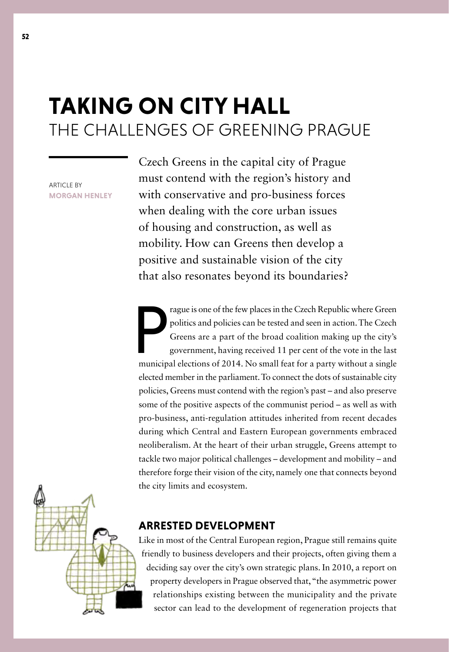## **TAKING ON CITY HALL** THE CHALLENGES OF GREENING PRAGUE

**ARTICLE BY MORGAN HENLEY**

Czech Greens in the capital city of Prague must contend with the region's history and with conservative and pro-business forces when dealing with the core urban issues of housing and construction, as well as mobility. How can Greens then develop a positive and sustainable vision of the city that also resonates beyond its boundaries?

**P**<br>municip rague is one of the few places in the Czech Republic where Green politics and policies can be tested and seen in action. The Czech Greens are a part of the broad coalition making up the city's government, having received 11 per cent of the vote in the last municipal elections of 2014. No small feat for a party without a single elected member in the parliament. To connect the dots of sustainable city policies, Greens must contend with the region's past – and also preserve some of the positive aspects of the communist period – as well as with pro-business, anti-regulation attitudes inherited from recent decades during which Central and Eastern European governments embraced neoliberalism. At the heart of their urban struggle, Greens attempt to tackle two major political challenges – development and mobility – and therefore forge their vision of the city, namely one that connects beyond the city limits and ecosystem.



## **ARRESTED DEVELOPMENT**

Like in most of the Central European region, Prague still remains quite friendly to business developers and their projects, often giving them a deciding say over the city's own strategic plans. In 2010, a report on property developers in Prague observed that, "the asymmetric power relationships existing between the municipality and the private sector can lead to the development of regeneration projects that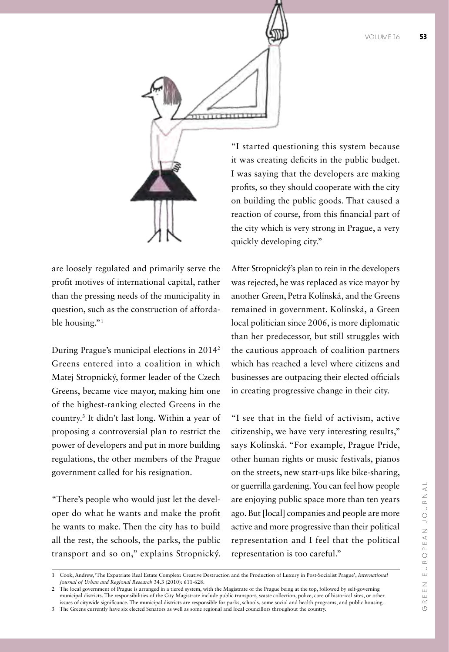

are loosely regulated and primarily serve the profit motives of international capital, rather than the pressing needs of the municipality in question, such as the construction of affordable housing."1

During Prague's municipal elections in 20142 Greens entered into a coalition in which Matej Stropnický, former leader of the Czech Greens, became vice mayor, making him one of the highest-ranking elected Greens in the country.3 It didn't last long. Within a year of proposing a controversial plan to restrict the power of developers and put in more building regulations, the other members of the Prague government called for his resignation.

"There's people who would just let the developer do what he wants and make the profit he wants to make. Then the city has to build all the rest, the schools, the parks, the public transport and so on," explains Stropnický. "I started questioning this system because it was creating deficits in the public budget. I was saying that the developers are making profits, so they should cooperate with the city on building the public goods. That caused a reaction of course, from this financial part of the city which is very strong in Prague, a very quickly developing city."

After Stropnický's plan to rein in the developers was rejected, he was replaced as vice mayor by another Green, Petra Kolínská, and the Greens remained in government. Kolínská, a Green local politician since 2006, is more diplomatic than her predecessor, but still struggles with the cautious approach of coalition partners which has reached a level where citizens and businesses are outpacing their elected officials in creating progressive change in their city.

"I see that in the field of activism, active citizenship, we have very interesting results," says Kolínská. "For example, Prague Pride, other human rights or music festivals, pianos on the streets, new start-ups like bike-sharing, or guerrilla gardening. You can feel how people are enjoying public space more than ten years ago. But [local] companies and people are more active and more progressive than their political representation and I feel that the political representation is too careful."

<sup>1</sup> Cook, Andrew, 'The Expatriate Real Estate Complex: Creative Destruction and the Production of Luxury in Post‐Socialist Prague', *International Journal of Urban and Regional Research* 34.3 (2010): 611-628.

<sup>2</sup> The local government of Prague is arranged in a tiered system, with the Magistrate of the Prague being at the top, followed by self-governing municipal districts. The responsibilities of the City Magistrate include public transport, waste collection, police, care of historical sites, or other issues of citywide significance. The municipal districts are responsible for parks, schools, some social and health programs, and public housing. 3 The Greens currently have six elected Senators as well as some regional and local councillors throughout the country.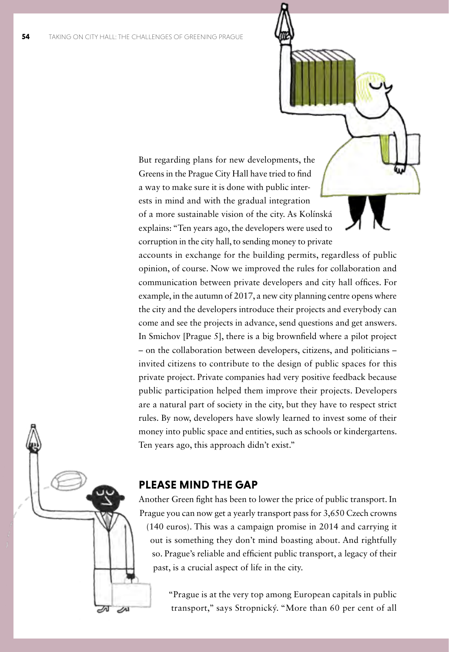But regarding plans for new developments, the Greens in the Prague City Hall have tried to find a way to make sure it is done with public interests in mind and with the gradual integration of a more sustainable vision of the city. As Kolínská explains: "Ten years ago, the developers were used to corruption in the city hall, to sending money to private

accounts in exchange for the building permits, regardless of public opinion, of course. Now we improved the rules for collaboration and communication between private developers and city hall offices. For example, in the autumn of 2017, a new city planning centre opens where the city and the developers introduce their projects and everybody can come and see the projects in advance, send questions and get answers. In Smichov [Prague 5], there is a big brownfield where a pilot project – on the collaboration between developers, citizens, and politicians – invited citizens to contribute to the design of public spaces for this private project. Private companies had very positive feedback because public participation helped them improve their projects. Developers are a natural part of society in the city, but they have to respect strict rules. By now, developers have slowly learned to invest some of their money into public space and entities, such as schools or kindergartens. Ten years ago, this approach didn't exist."

## **PLEASE MIND THE GAP**

Another Green fight has been to lower the price of public transport. In Prague you can now get a yearly transport pass for 3,650 Czech crowns (140 euros). This was a campaign promise in 2014 and carrying it out is something they don't mind boasting about. And rightfully so. Prague's reliable and efficient public transport, a legacy of their past, is a crucial aspect of life in the city.

> "Prague is at the very top among European capitals in public transport," says Stropnický. "More than 60 per cent of all

৶

 $\overline{\mathscr{L}}^1$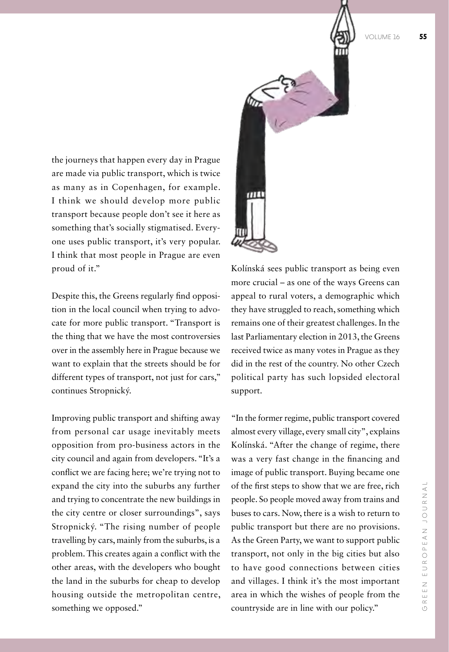VOLUME 16 **55**

 $\overline{m}$ 

the journeys that happen every day in Prague are made via public transport, which is twice as many as in Copenhagen, for example. I think we should develop more public transport because people don't see it here as something that's socially stigmatised. Everyone uses public transport, it's very popular. I think that most people in Prague are even proud of it."

Despite this, the Greens regularly find opposition in the local council when trying to advocate for more public transport. "Transport is the thing that we have the most controversies over in the assembly here in Prague because we want to explain that the streets should be for different types of transport, not just for cars," continues Stropnický.

Improving public transport and shifting away from personal car usage inevitably meets opposition from pro-business actors in the city council and again from developers. "It's a conflict we are facing here; we're trying not to expand the city into the suburbs any further and trying to concentrate the new buildings in the city centre or closer surroundings", says Stropnický. "The rising number of people travelling by cars, mainly from the suburbs, is a problem. This creates again a conflict with the other areas, with the developers who bought the land in the suburbs for cheap to develop housing outside the metropolitan centre, something we opposed."

Kolínská sees public transport as being even more crucial – as one of the ways Greens can appeal to rural voters, a demographic which they have struggled to reach, something which remains one of their greatest challenges. In the last Parliamentary election in 2013, the Greens received twice as many votes in Prague as they did in the rest of the country. No other Czech political party has such lopsided electoral support.

"In the former regime, public transport covered almost every village, every small city", explains Kolínská. "After the change of regime, there was a very fast change in the financing and image of public transport. Buying became one of the first steps to show that we are free, rich people. So people moved away from trains and buses to cars. Now, there is a wish to return to public transport but there are no provisions. As the Green Party, we want to support public transport, not only in the big cities but also to have good connections between cities and villages. I think it's the most important area in which the wishes of people from the countryside are in line with our policy."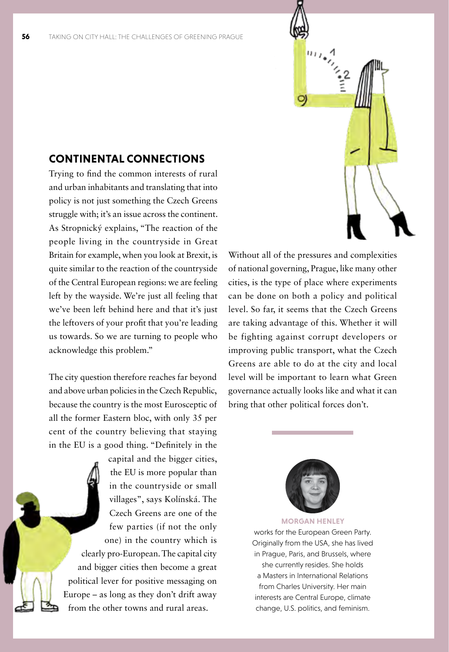## **CONTINENTAL CONNECTIONS**

Trying to find the common interests of rural and urban inhabitants and translating that into policy is not just something the Czech Greens struggle with; it's an issue across the continent. As Stropnický explains, "The reaction of the people living in the countryside in Great Britain for example, when you look at Brexit, is quite similar to the reaction of the countryside of the Central European regions: we are feeling left by the wayside. We're just all feeling that we've been left behind here and that it's just the leftovers of your profit that you're leading us towards. So we are turning to people who acknowledge this problem."

The city question therefore reaches far beyond and above urban policies in the Czech Republic, because the country is the most Eurosceptic of all the former Eastern bloc, with only 35 per cent of the country believing that staying in the EU is a good thing. "Definitely in the

capital and the bigger cities, the EU is more popular than in the countryside or small villages", says Kolínská. The Czech Greens are one of the few parties (if not the only one) in the country which is clearly pro-European. The capital city and bigger cities then become a great political lever for positive messaging on Europe – as long as they don't drift away from the other towns and rural areas.



Without all of the pressures and complexities of national governing, Prague, like many other cities, is the type of place where experiments can be done on both a policy and political level. So far, it seems that the Czech Greens are taking advantage of this. Whether it will be fighting against corrupt developers or improving public transport, what the Czech Greens are able to do at the city and local level will be important to learn what Green governance actually looks like and what it can bring that other political forces don't.



**MORGAN HENLEY** 

works for the European Green Party. Originally from the USA, she has lived in Prague, Paris, and Brussels, where she currently resides. She holds a Masters in International Relations from Charles University. Her main interests are Central Europe, climate change, U.S. politics, and feminism.